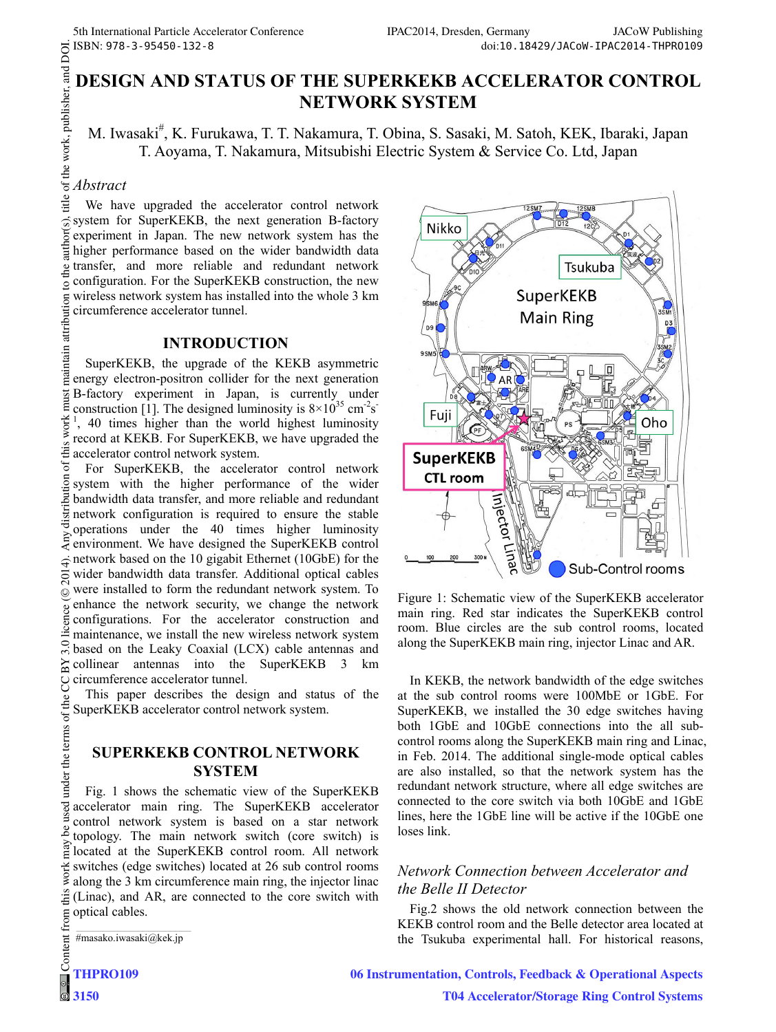# **DESIGN AND STATUS OF THE SUPERKEKB ACCELERATOR CONTROL NETWORK SYSTEM**

M. Iwasaki<sup>#</sup>, K. Furukawa, T. T. Nakamura, T. Obina, S. Sasaki, M. Satoh, KEK, Ibaraki, Japan T. Aoyama, T. Nakamura, Mitsubishi Electric System & Service Co. Ltd, Japan

#### *Abstract*

We have upgraded the accelerator control network system for SuperKEKB, the next generation B-factory experiment in Japan. The new network system has the higher performance based on the wider bandwidth data transfer, and more reliable and redundant network .<br>Ae configuration. For the SuperKEKB construction, the new  $\overline{Q}$ wireless network system has installed into the whole 3 km circumference accelerator tunnel.

#### **INTRODUCTION**

maintain attribution SuperKEKB, the upgrade of the KEKB asymmetric energy electron-positron collider for the next generation B-factory experiment in Japan, is currently under **ist**  $\overline{a}$ construction [1]. The designed luminosity is  $8 \times 10^{35}$  cm<sup>-2</sup>s<sup>-</sup>  $\frac{1}{1}$ , 40 times higher than the world highest luminosity record at KEKB. For SuperKEKB, we have upgraded the  $\frac{a}{2}$  accelerator control network system.

© 2014). Any distribution of this work must maintain attribution to the author(s), title of the work, publisher, and DOI.<br>  $\leq$   $\leq$   $\leq$   $\leq$   $\alpha$   $\geq$   $\alpha$   $\leq$   $\alpha$   $\leq$   $\alpha$   $\leq$   $\alpha$   $\infty$   $\infty$   $\infty$ .  $\overline{\sigma}$ For SuperKEKB, the accelerator control network system with the higher performance of the wider bandwidth data transfer, and more reliable and redundant network configuration is required to ensure the stable operations under the 40 times higher luminosity  $\geq$  operations under the 40 times inglier funniosity<br> $\geq$  environment. We have designed the SuperKEKB control  $\hat{\sigma}$  network based on the 10 gigabit Ethernet (10GbE) for the  $\sum_{n=1}^{\infty}$  wider bandwidth data transfer. Additional optical cables were installed to form the redundant network system. To ©Content from this work may be used under the terms of the CC BY 3.0 licence ( $\epsilon$ enhance the network security, we change the network configurations. For the accelerator construction and maintenance, we install the new wireless network system based on the Leaky Coaxial (LCX) cable antennas and ΣŚ collinear antennas into the SuperKEKB 3 km circumference accelerator tunnel. S

This paper describes the design and status of the under the terms of the SuperKEKB accelerator control network system.

#### **SUPERKEKB CONTROL NETWORK SYSTEM**

Fig. 1 shows the schematic view of the SuperKEKB accelerator main ring. The SuperKEKB accelerator control network system is based on a star network ತಿ topology. The main network switch (core switch) is located at the SuperKEKB control room. All network work switches (edge switches) located at 26 sub control rooms along the 3 km circumference main ring, the injector linac this (Linac), and AR, are connected to the core switch with from t optical cables.

 \_\_\_\_\_\_\_\_\_\_\_\_\_\_\_\_\_\_\_\_\_\_\_\_\_\_\_\_\_\_\_\_\_\_\_\_\_\_\_\_\_\_\_ #masako.iwasaki@kek.jp



Figure 1: Schematic view of the SuperKEKB accelerator main ring. Red star indicates the SuperKEKB control room. Blue circles are the sub control rooms, located along the SuperKEKB main ring, injector Linac and AR.

In KEKB, the network bandwidth of the edge switches at the sub control rooms were 100MbE or 1GbE. For SuperKEKB, we installed the 30 edge switches having both 1GbE and 10GbE connections into the all subcontrol rooms along the SuperKEKB main ring and Linac, in Feb. 2014. The additional single-mode optical cables are also installed, so that the network system has the redundant network structure, where all edge switches are connected to the core switch via both 10GbE and 1GbE lines, here the 1GbE line will be active if the 10GbE one loses link.

### *Network Connection between Accelerator and the Belle II Detector*

Fig.2 shows the old network connection between the KEKB control room and the Belle detector area located at the Tsukuba experimental hall. For historical reasons,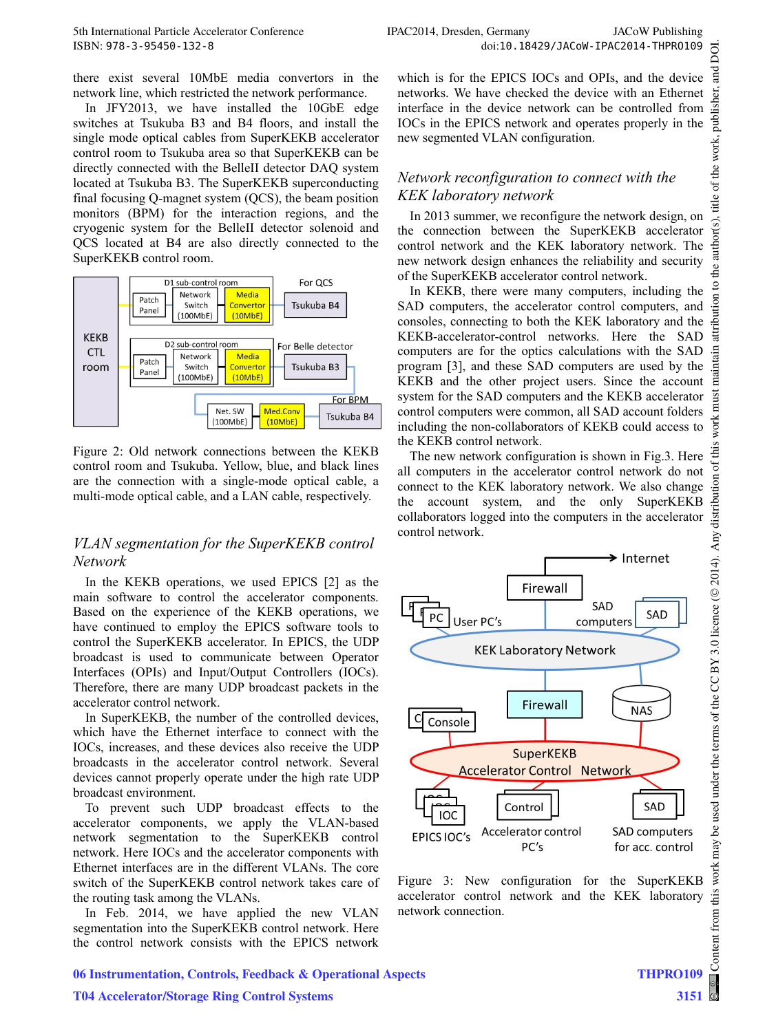there exist several 10MbE media convertors in the network line, which restricted the network performance.

In JFY2013, we have installed the 10GbE edge switches at Tsukuba B3 and B4 floors, and install the single mode optical cables from SuperKEKB accelerator control room to Tsukuba area so that SuperKEKB can be directly connected with the BelleII detector DAQ system located at Tsukuba B3. The SuperKEKB superconducting final focusing Q-magnet system (QCS), the beam position monitors (BPM) for the interaction regions, and the cryogenic system for the BelleII detector solenoid and QCS located at B4 are also directly connected to the SuperKEKB control room.



Figure 2: Old network connections between the KEKB control room and Tsukuba. Yellow, blue, and black lines are the connection with a single-mode optical cable, a multi-mode optical cable, and a LAN cable, respectively.

#### *VLAN segmentation for the SuperKEKB control Network*

In the KEKB operations, we used EPICS [2] as the main software to control the accelerator components. Based on the experience of the KEKB operations, we have continued to employ the EPICS software tools to control the SuperKEKB accelerator. In EPICS, the UDP broadcast is used to communicate between Operator Interfaces (OPIs) and Input/Output Controllers (IOCs). Therefore, there are many UDP broadcast packets in the accelerator control network.

In SuperKEKB, the number of the controlled devices, which have the Ethernet interface to connect with the IOCs, increases, and these devices also receive the UDP broadcasts in the accelerator control network. Several devices cannot properly operate under the high rate UDP broadcast environment.

To prevent such UDP broadcast effects to the accelerator components, we apply the VLAN-based network segmentation to the SuperKEKB control network. Here IOCs and the accelerator components with Ethernet interfaces are in the different VLANs. The core switch of the SuperKEKB control network takes care of the routing task among the VLANs.

In Feb. 2014, we have applied the new VLAN segmentation into the SuperKEKB control network. Here the control network consists with the EPICS network which is for the EPICS IOCs and OPIs, and the device networks. We have checked the device with an Ethernet interface in the device network can be controlled from IOCs in the EPICS network and operates properly in the new segmented VLAN configuration.

## *Network reconfiguration to connect with the KEK laboratory network*

In 2013 summer, we reconfigure the network design, on the connection between the SuperKEKB accelerator control network and the KEK laboratory network. The new network design enhances the reliability and security of the SuperKEKB accelerator control network.

In KEKB, there were many computers, including the SAD computers, the accelerator control computers, and consoles, connecting to both the KEK laboratory and the KEKB-accelerator-control networks. Here the SAD computers are for the optics calculations with the SAD program [3], and these SAD computers are used by the KEKB and the other project users. Since the account system for the SAD computers and the KEKB accelerator control computers were common, all SAD account folders including the non-collaborators of KEKB could access to the KEKB control network.

The new network configuration is shown in Fig.3. Here all computers in the accelerator control network do not connect to the KEK laboratory network. We also change the account system, and the only SuperKEKB collaborators logged into the computers in the accelerator control network.



Figure 3: New configuration for the SuperKEKB accelerator control network and the KEK laboratory network connection.

 $max$ 

this work

Content from